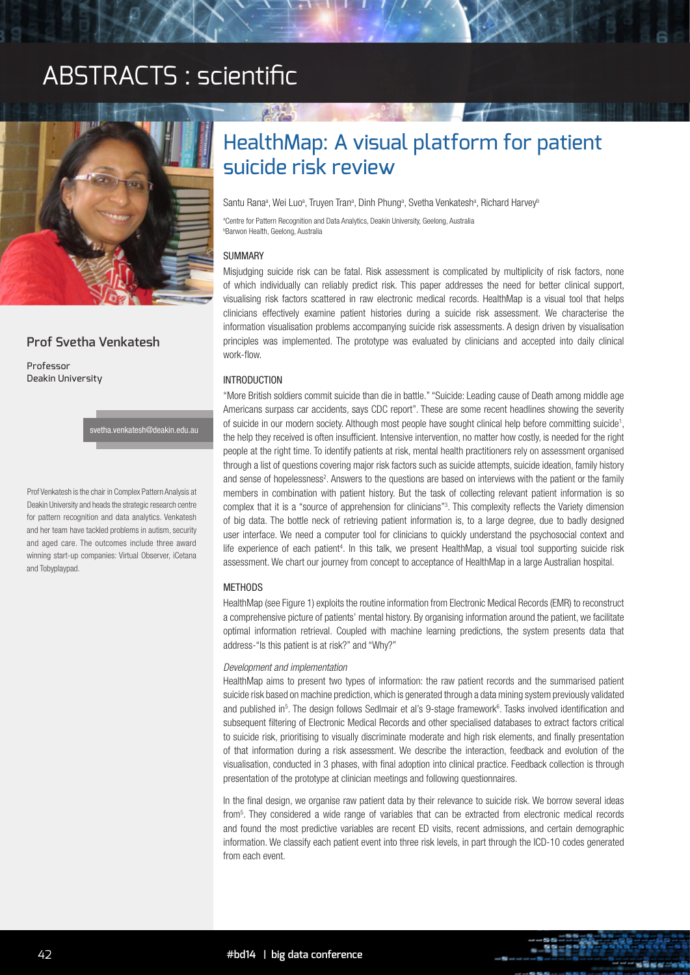# ABSTRACTS : scientific



## **Prof Svetha Venkatesh**

Professor Deakin University

svetha.venkatesh@deakin.edu.au

Prof Venkatesh is the chair in Complex Pattern Analysis at Deakin University and heads the strategic research centre for pattern recognition and data analytics. Venkatesh and her team have tackled problems in autism, security and aged care. The outcomes include three award winning start-up companies: Virtual Observer, iCetana and Tobyplaypad.

# HealthMap: A visual platform for patient suicide risk review

Santu Rana<sup>a</sup>, Wei Luo<sup>a</sup>, Truyen Tran<sup>a</sup>, Dinh Phung<sup>a</sup>, Svetha Venkatesh<sup>a</sup>, Richard Harvey<sup>t</sup>

a Centre for Pattern Recognition and Data Analytics, Deakin University, Geelong, Australia b Barwon Health, Geelong, Australia

#### SUMMARY

Misjudging suicide risk can be fatal. Risk assessment is complicated by multiplicity of risk factors, none of which individually can reliably predict risk. This paper addresses the need for better clinical support, visualising risk factors scattered in raw electronic medical records. HealthMap is a visual tool that helps clinicians effectively examine patient histories during a suicide risk assessment. We characterise the information visualisation problems accompanying suicide risk assessments. A design driven by visualisation principles was implemented. The prototype was evaluated by clinicians and accepted into daily clinical work-flow.

### INTRODUCTION

"More British soldiers commit suicide than die in battle." "Suicide: Leading cause of Death among middle age Americans surpass car accidents, says CDC report". These are some recent headlines showing the severity of suicide in our modern society. Although most people have sought clinical help before committing suicide<sup>1</sup>, the help they received is often insufficient. Intensive intervention, no matter how costly, is needed for the right people at the right time. To identify patients at risk, mental health practitioners rely on assessment organised through a list of questions covering major risk factors such as suicide attempts, suicide ideation, family history and sense of hopelessness<sup>2</sup>. Answers to the questions are based on interviews with the patient or the family members in combination with patient history. But the task of collecting relevant patient information is so complex that it is a "source of apprehension for clinicians"3 . This complexity reflects the Variety dimension of big data. The bottle neck of retrieving patient information is, to a large degree, due to badly designed user interface. We need a computer tool for clinicians to quickly understand the psychosocial context and life experience of each patient<sup>4</sup>. In this talk, we present HealthMap, a visual tool supporting suicide risk assessment. We chart our journey from concept to acceptance of HealthMap in a large Australian hospital.

#### METHODS

HealthMap (see Figure 1) exploits the routine information from Electronic Medical Records (EMR) to reconstruct a comprehensive picture of patients' mental history. By organising information around the patient, we facilitate optimal information retrieval. Coupled with machine learning predictions, the system presents data that address-"Is this patient is at risk?" and "Why?"

#### *Development and implementation*

HealthMap aims to present two types of information: the raw patient records and the summarised patient suicide risk based on machine prediction, which is generated through a data mining system previously validated and published in<sup>5</sup>. The design follows Sedlmair et al's 9-stage framework<sup>6</sup>. Tasks involved identification and subsequent filtering of Electronic Medical Records and other specialised databases to extract factors critical to suicide risk, prioritising to visually discriminate moderate and high risk elements, and finally presentation of that information during a risk assessment. We describe the interaction, feedback and evolution of the visualisation, conducted in 3 phases, with final adoption into clinical practice. Feedback collection is through presentation of the prototype at clinician meetings and following questionnaires.

In the final design, we organise raw patient data by their relevance to suicide risk. We borrow several ideas from5 . They considered a wide range of variables that can be extracted from electronic medical records and found the most predictive variables are recent ED visits, recent admissions, and certain demographic information. We classify each patient event into three risk levels, in part through the ICD-10 codes generated from each event.